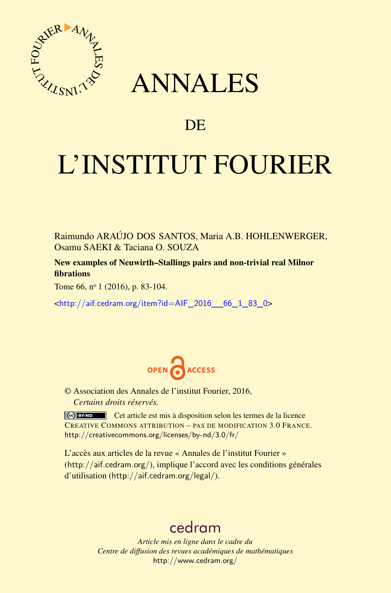

## ANNALES

### **DE**

# L'INSTITUT FOURIER

Raimundo ARAÚJO DOS SANTOS, Maria A.B. HOHLENWERGER, Osamu SAEKI & Taciana O. SOUZA

New examples of Neuwirth–Stallings pairs and non-trivial real Milnor fibrations

Tome 66, nº 1 (2016), p. 83-104.

<[http://aif.cedram.org/item?id=AIF\\_2016\\_\\_66\\_1\\_83\\_0](http://aif.cedram.org/item?id=AIF_2016__66_1_83_0)>



© Association des Annales de l'institut Fourier, 2016, *Certains droits réservés.*

Cet article est mis à disposition selon les termes de la licence CREATIVE COMMONS ATTRIBUTION – PAS DE MODIFICATION 3.0 FRANCE. <http://creativecommons.org/licenses/by-nd/3.0/fr/>

L'accès aux articles de la revue « Annales de l'institut Fourier » (<http://aif.cedram.org/>), implique l'accord avec les conditions générales d'utilisation (<http://aif.cedram.org/legal/>).

## [cedram](http://www.cedram.org/)

*Article mis en ligne dans le cadre du Centre de diffusion des revues académiques de mathématiques* <http://www.cedram.org/>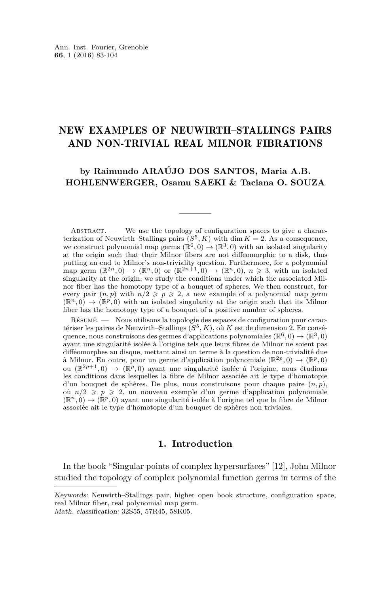#### NEW EXAMPLES OF NEUWIRTH–STALLINGS PAIRS AND NON-TRIVIAL REAL MILNOR FIBRATIONS

#### **by Raimundo ARAÚJO DOS SANTOS, Maria A.B. HOHLENWERGER, Osamu SAEKI & Taciana O. SOUZA**

ABSTRACT.  $\qquad$  We use the topology of configuration spaces to give a characterization of Neuwirth–Stallings pairs  $(S^5, K)$  with dim  $K = 2$ . As a consequence, we construct polynomial map germs  $(\mathbb{R}^6, 0) \to (\mathbb{R}^3, 0)$  with an isolated singularity at the origin such that their Milnor fibers are not diffeomorphic to a disk, thus putting an end to Milnor's non-triviality question. Furthermore, for a polynomial map germ  $(\mathbb{R}^{2n},0) \to (\mathbb{R}^n,0)$  or  $(\mathbb{R}^{2n+1},0) \to (\mathbb{R}^n,0)$ ,  $n \geq 3$ , with an isolated singularity at the origin, we study the conditions under which the associated Milnor fiber has the homotopy type of a bouquet of spheres. We then construct, for every pair  $(n, p)$  with  $n/2 \geqslant p \geqslant 2$ , a new example of a polynomial map germ  $(\mathbb{R}^n,0) \to (\mathbb{R}^p,0)$  with an isolated singularity at the origin such that its Milnor fiber has the homotopy type of a bouquet of a positive number of spheres.

Résumé. — Nous utilisons la topologie des espaces de configuration pour caractériser les paires de Neuwirth–Stallings  $(S^5, K)$ , où *K* est de dimension 2. En conséquence, nous construisons des germes d'applications polynomiales  $(\mathbb{R}^6,0) \to (\mathbb{R}^3,0)$ ayant une singularité isolée à l'origine tels que leurs fibres de Milnor ne soient pas difféomorphes au disque, mettant ainsi un terme à la question de non-trivialité due à Milnor. En outre, pour un germe d'application polynomiale (R2*p,* 0) → (R*p,* 0) ou  $(\mathbb{R}^{2p+1},0) \to (\mathbb{R}^p,0)$  ayant une singularité isolée à l'origine, nous étudions les conditions dans lesquelles la fibre de Milnor associée ait le type d'homotopie d'un bouquet de sphères. De plus, nous construisons pour chaque paire (*n, p*), où  $n/2 \geqslant p \geqslant 2$ , un nouveau exemple d'un germe d'application polynomiale  $(\mathbb{R}^n,0) \to (\mathbb{R}^p,0)$  ayant une singularité isolée à l'origine tel que la fibre de Milnor associée ait le type d'homotopie d'un bouquet de sphères non triviales.

#### **1. Introduction**

In the book "Singular points of complex hypersurfaces" [\[12\]](#page-21-0), John Milnor studied the topology of complex polynomial function germs in terms of the

Keywords: Neuwirth–Stallings pair, higher open book structure, configuration space, real Milnor fiber, real polynomial map germ. Math. classification: 32S55, 57R45, 58K05.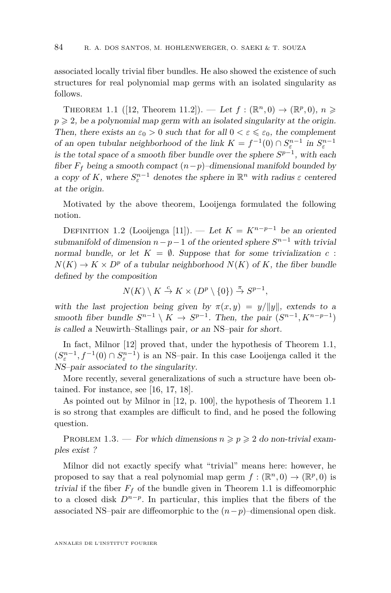associated locally trivial fiber bundles. He also showed the existence of such structures for real polynomial map germs with an isolated singularity as follows.

<span id="page-2-0"></span>THEOREM 1.1 ([\[12,](#page-21-0) Theorem 11.2]). — Let  $f : (\mathbb{R}^n, 0) \to (\mathbb{R}^p, 0), n \geq 0$  $p \geqslant 2$ , be a polynomial map germ with an isolated singularity at the origin. Then, there exists an  $\varepsilon_0 > 0$  such that for all  $0 < \varepsilon \leq \varepsilon_0$ , the complement of an open tubular neighborhood of the link  $K = f^{-1}(0) \cap S_{\varepsilon}^{n-1}$  in  $S_{\varepsilon}^{n-1}$ is the total space of a smooth fiber bundle over the sphere  $S^{p-1}$ , with each fiber  $F_f$  being a smooth compact  $(n-p)$ –dimensional manifold bounded by a copy of *K*, where  $S_{\varepsilon}^{n-1}$  denotes the sphere in  $\mathbb{R}^n$  with radius  $\varepsilon$  centered at the origin.

Motivated by the above theorem, Looijenga formulated the following notion.

DEFINITION 1.2 (Looijenga [\[11\]](#page-21-1)). — Let  $K = K^{n-p-1}$  be an oriented submanifold of dimension  $n-p-1$  of the oriented sphere  $S^{n-1}$  with trivial normal bundle, or let  $K = \emptyset$ . Suppose that for some trivialization c:  $N(K) \to K \times D^p$  of a tubular neighborhood  $N(K)$  of K, the fiber bundle defined by the composition

$$
N(K) \setminus K \stackrel{c}{\to} K \times (D^p \setminus \{0\}) \stackrel{\pi}{\to} S^{p-1},
$$

with the last projection being given by  $\pi(x, y) = y/||y||$ , extends to a smooth fiber bundle  $S^{n-1} \setminus K \to S^{p-1}$ . Then, the pair  $(S^{n-1}, K^{n-p-1})$ is called a Neuwirth–Stallings pair, or an NS–pair for short.

In fact, Milnor [\[12\]](#page-21-0) proved that, under the hypothesis of Theorem [1.1,](#page-2-0)  $(S^{n-1}_{\varepsilon}, f^{-1}(0) \cap S^{n-1}_{\varepsilon})$  is an NS–pair. In this case Looijenga called it the NS–pair associated to the singularity.

More recently, several generalizations of such a structure have been obtained. For instance, see [\[16,](#page-22-0) [17,](#page-22-1) [18\]](#page-22-2).

As pointed out by Milnor in [\[12,](#page-21-0) p. 100], the hypothesis of Theorem [1.1](#page-2-0) is so strong that examples are difficult to find, and he posed the following question.

<span id="page-2-1"></span>PROBLEM 1.3. — For which dimensions  $n \geqslant p \geqslant 2$  do non-trivial examples exist ?

Milnor did not exactly specify what "trivial" means here: however, he proposed to say that a real polynomial map germ  $f : (\mathbb{R}^n, 0) \to (\mathbb{R}^p, 0)$  is trivial if the fiber  $F_f$  of the bundle given in Theorem [1.1](#page-2-0) is diffeomorphic to a closed disk *D<sup>n</sup>*−*<sup>p</sup>* . In particular, this implies that the fibers of the associated NS–pair are diffeomorphic to the  $(n-p)$ –dimensional open disk.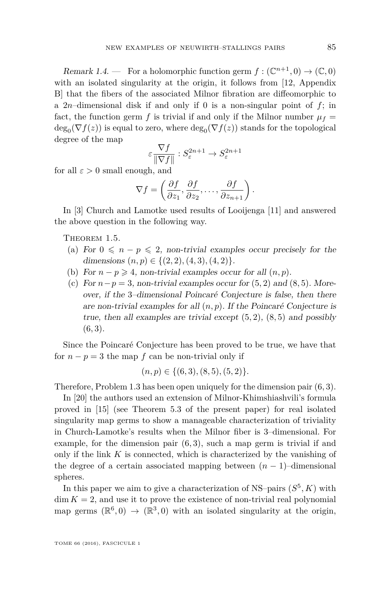Remark 1.4. – For a holomorphic function germ  $f: (\mathbb{C}^{n+1},0) \to (\mathbb{C},0)$ with an isolated singularity at the origin, it follows from [\[12,](#page-21-0) Appendix B] that the fibers of the associated Milnor fibration are diffeomorphic to a 2*n*–dimensional disk if and only if 0 is a non-singular point of *f*; in fact, the function germ f is trivial if and only if the Milnor number  $\mu_f$  $deg_0(\nabla f(z))$  is equal to zero, where  $deg_0(\nabla f(z))$  stands for the topological degree of the map

$$
\varepsilon \frac{\nabla f}{\|\nabla f\|}: S^{2n+1}_{\varepsilon} \to S^{2n+1}_{\varepsilon}
$$

for all  $\varepsilon > 0$  small enough, and

$$
\nabla f = \left(\frac{\partial f}{\partial z_1}, \frac{\partial f}{\partial z_2}, \dots, \frac{\partial f}{\partial z_{n+1}}\right).
$$

In [\[3\]](#page-21-2) Church and Lamotke used results of Looijenga [\[11\]](#page-21-1) and answered the above question in the following way.

<span id="page-3-0"></span>THEOREM 1.5.

- (a) For  $0 \leq n p \leq 2$ , non-trivial examples occur precisely for the dimensions  $(n, p) \in \{(2, 2), (4, 3), (4, 2)\}.$
- (b) For  $n p \geq 4$ , non-trivial examples occur for all  $(n, p)$ .
- (c) For  $n-p=3$ , non-trivial examples occur for  $(5, 2)$  and  $(8, 5)$ . Moreover, if the 3–dimensional Poincaré Conjecture is false, then there are non-trivial examples for all  $(n, p)$ . If the Poincaré Conjecture is true, then all examples are trivial except (5*,* 2), (8*,* 5) and possibly (6*,* 3).

Since the Poincaré Conjecture has been proved to be true, we have that for  $n - p = 3$  the map f can be non-trivial only if

$$
(n, p) \in \{(6, 3), (8, 5), (5, 2)\}.
$$

Therefore, Problem [1.3](#page-2-1) has been open uniquely for the dimension pair (6*,* 3).

In [\[20\]](#page-22-3) the authors used an extension of Milnor-Khimshiashvili's formula proved in [\[15\]](#page-22-4) (see Theorem [5.3](#page-17-0) of the present paper) for real isolated singularity map germs to show a manageable characterization of triviality in Church-Lamotke's results when the Milnor fiber is 3–dimensional. For example, for the dimension pair (6*,* 3), such a map germ is trivial if and only if the link *K* is connected, which is characterized by the vanishing of the degree of a certain associated mapping between  $(n-1)$ –dimensional spheres.

In this paper we aim to give a characterization of NS–pairs  $(S^5, K)$  with  $\dim K = 2$ , and use it to prove the existence of non-trivial real polynomial map germs  $(\mathbb{R}^6, 0) \to (\mathbb{R}^3, 0)$  with an isolated singularity at the origin,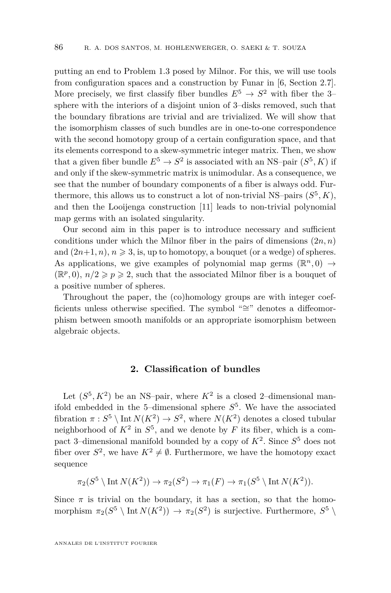putting an end to Problem [1.3](#page-2-1) posed by Milnor. For this, we will use tools from configuration spaces and a construction by Funar in [\[6,](#page-21-3) Section 2.7]. More precisely, we first classify fiber bundles  $E^5 \rightarrow S^2$  with fiber the 3– sphere with the interiors of a disjoint union of 3–disks removed, such that the boundary fibrations are trivial and are trivialized. We will show that the isomorphism classes of such bundles are in one-to-one correspondence with the second homotopy group of a certain configuration space, and that its elements correspond to a skew-symmetric integer matrix. Then, we show that a given fiber bundle  $E^5 \to S^2$  is associated with an NS–pair  $(S^5, K)$  if and only if the skew-symmetric matrix is unimodular. As a consequence, we see that the number of boundary components of a fiber is always odd. Furthermore, this allows us to construct a lot of non-trivial NS-pairs  $(S^5, K)$ , and then the Looijenga construction [\[11\]](#page-21-1) leads to non-trivial polynomial map germs with an isolated singularity.

Our second aim in this paper is to introduce necessary and sufficient conditions under which the Milnor fiber in the pairs of dimensions (2*n, n*) and  $(2n+1, n)$ ,  $n \ge 3$ , is, up to homotopy, a bouquet (or a wedge) of spheres. As applications, we give examples of polynomial map germs  $(\mathbb{R}^n, 0) \rightarrow$  $(\mathbb{R}^p, 0), n/2 \geqslant p \geqslant 2$ , such that the associated Milnor fiber is a bouquet of a positive number of spheres.

Throughout the paper, the (co)homology groups are with integer coefficients unless otherwise specified. The symbol "∼=" denotes a diffeomorphism between smooth manifolds or an appropriate isomorphism between algebraic objects.

#### **2. Classification of bundles**

<span id="page-4-0"></span>Let  $(S^5, K^2)$  be an NS-pair, where  $K^2$  is a closed 2-dimensional manifold embedded in the 5–dimensional sphere *S* 5 . We have the associated fibration  $\pi : S^5 \setminus \text{Int } N(K^2) \to S^2$ , where  $N(K^2)$  denotes a closed tubular neighborhood of  $K^2$  in  $S^5$ , and we denote by  $F$  its fiber, which is a compact 3–dimensional manifold bounded by a copy of *K*<sup>2</sup> . Since *S* <sup>5</sup> does not fiber over  $S^2$ , we have  $K^2 \neq \emptyset$ . Furthermore, we have the homotopy exact sequence

$$
\pi_2(S^5 \setminus \text{Int } N(K^2)) \to \pi_2(S^2) \to \pi_1(F) \to \pi_1(S^5 \setminus \text{Int } N(K^2)).
$$

Since  $\pi$  is trivial on the boundary, it has a section, so that the homomorphism  $\pi_2(S^5 \setminus \text{Int } N(K^2)) \to \pi_2(S^2)$  is surjective. Furthermore,  $S^5 \setminus$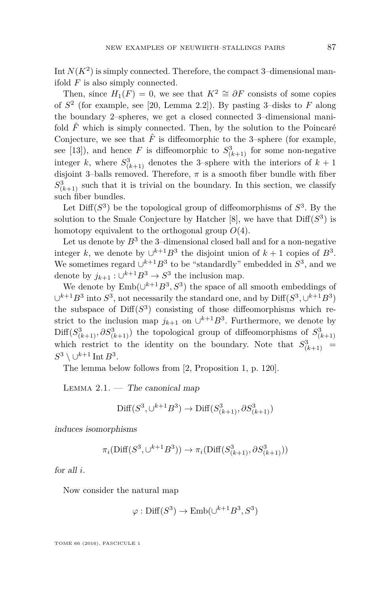Int  $N(K^2)$  is simply connected. Therefore, the compact 3–dimensional manifold *F* is also simply connected.

Then, since  $H_1(F) = 0$ , we see that  $K^2 \cong \partial F$  consists of some copies of *S* 2 (for example, see [\[20,](#page-22-3) Lemma 2.2]). By pasting 3–disks to *F* along the boundary 2–spheres, we get a closed connected 3–dimensional manifold  $\hat{F}$  which is simply connected. Then, by the solution to the Poincaré Conjecture, we see that  $\hat{F}$  is diffeomorphic to the 3–sphere (for example, see [\[13\]](#page-21-4)), and hence *F* is diffeomorphic to  $S^3_{(k+1)}$  for some non-negative integer *k*, where  $S^3_{(k+1)}$  denotes the 3-sphere with the interiors of  $k+1$ disjoint 3–balls removed. Therefore,  $\pi$  is a smooth fiber bundle with fiber  $S^3_{(k+1)}$  such that it is trivial on the boundary. In this section, we classify such fiber bundles.

Let  $Diff(S^3)$  be the topological group of diffeomorphisms of  $S^3$ . By the solution to the Smale Conjecture by Hatcher  $[8]$ , we have that  $\text{Diff}(S^3)$  is homotopy equivalent to the orthogonal group *O*(4).

Let us denote by  $B^3$  the 3-dimensional closed ball and for a non-negative integer *k*, we denote by  $\bigcup^{k+1} B^3$  the disjoint union of  $k+1$  copies of  $B^3$ . We sometimes regard  $\bigcup^{k+1} B^3$  to be "standardly" embedded in  $S^3$ , and we denote by  $j_{k+1}: \bigcup^{k+1} B^3 \to S^3$  the inclusion map.

We denote by  $\text{Emb}(\bigcup^{k+1} B^3, S^3)$  the space of all smooth embeddings of  $\cup^{k+1} B^3$  into  $S^3$ , not necessarily the standard one, and by  $\text{Diff}(S^3, \cup^{k+1} B^3)$ the subspace of  $\text{Diff}(S^3)$  consisting of those diffeomorphisms which restrict to the inclusion map  $j_{k+1}$  on  $\cup^{k+1} B^3$ . Furthermore, we denote by  $\text{Diff}(S^3_{(k+1)}, \partial S^3_{(k+1)})$  the topological group of diffeomorphisms of  $S^3_{(k+1)}$ which restrict to the identity on the boundary. Note that  $S^3_{(k+1)}$  =  $S^3 \setminus \cup^{k+1} \text{Int } B^3$ .

The lemma below follows from [\[2,](#page-21-6) Proposition 1, p. 120].

<span id="page-5-0"></span>LEMMA  $2.1.$  — The canonical map

$$
\text{Diff}(S^3, \cup^{k+1}B^3) \to \text{Diff}(S^3_{(k+1)}, \partial S^3_{(k+1)})
$$

induces isomorphisms

$$
\pi_i(\text{Diff}(S^3, \cup^{k+1} B^3)) \to \pi_i(\text{Diff}(S^3_{(k+1)}, \partial S^3_{(k+1)}))
$$

for all *i*.

Now consider the natural map

$$
\varphi: \text{Diff}(S^3) \to \text{Emb}(\cup^{k+1} B^3, S^3)
$$

TOME 66 (2016), FASCICULE 1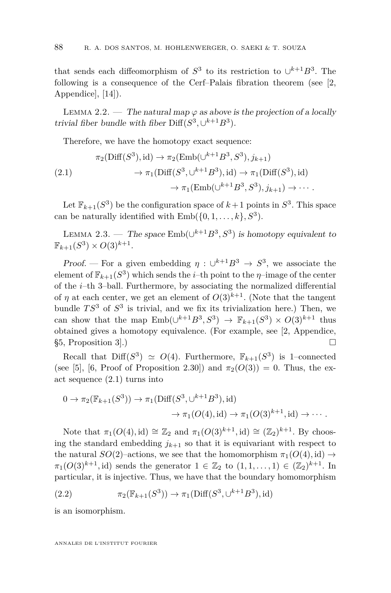that sends each diffeomorphism of  $S^3$  to its restriction to  $\bigcup^{k+1} B^3$ . The following is a consequence of the Cerf–Palais fibration theorem (see [\[2,](#page-21-6) Appendice], [\[14\]](#page-21-7)).

<span id="page-6-2"></span>LEMMA 2.2. — The natural map  $\varphi$  as above is the projection of a locally trivial fiber bundle with fiber  $\text{Diff}(S^3, \cup^{k+1}B^3)$ .

Therefore, we have the homotopy exact sequence:

<span id="page-6-0"></span>
$$
\pi_2(\text{Diff}(S^3), \text{id}) \to \pi_2(\text{Emb}(\cup^{k+1} B^3, S^3), j_{k+1})
$$
  
\n
$$
\to \pi_1(\text{Diff}(S^3, \cup^{k+1} B^3), \text{id}) \to \pi_1(\text{Diff}(S^3), \text{id})
$$
  
\n
$$
\to \pi_1(\text{Emb}(\cup^{k+1} B^3, S^3), j_{k+1}) \to \cdots
$$

Let  $\mathbb{F}_{k+1}(S^3)$  be the configuration space of  $k+1$  points in  $S^3$ . This space can be naturally identified with  $\text{Emb}(\{0, 1, \ldots, k\}, S^3)$ .

LEMMA 2.3. — The space  $\text{Emb}(\cup^{k+1} B^3, S^3)$  is homotopy equivalent to  $\mathbb{F}_{k+1}(S^3) \times O(3)^{k+1}.$ 

Proof. — For a given embedding  $\eta : \bigcup^{k+1} B^3 \to S^3$ , we associate the element of  $\mathbb{F}_{k+1}(S^3)$  which sends the *i*-th point to the *η*-image of the center of the *i*–th 3–ball. Furthermore, by associating the normalized differential of *η* at each center, we get an element of  $O(3)^{k+1}$ . (Note that the tangent bundle  $TS^3$  of  $S^3$  is trivial, and we fix its trivialization here.) Then, we can show that the map  $\text{Emb}(\bigcup^{k+1} B^3, S^3) \to \mathbb{F}_{k+1}(S^3) \times O(3)^{k+1}$  thus obtained gives a homotopy equivalence. (For example, see [\[2,](#page-21-6) Appendice,  $\S5$ , Proposition 3...

Recall that  $\text{Diff}(S^3) \simeq O(4)$ . Furthermore,  $\mathbb{F}_{k+1}(S^3)$  is 1-connected (see [\[5\]](#page-21-8), [\[6,](#page-21-3) Proof of Proposition 2.30]) and  $\pi_2(O(3)) = 0$ . Thus, the exact sequence [\(2.1\)](#page-6-0) turns into

$$
0 \to \pi_2(\mathbb{F}_{k+1}(S^3)) \to \pi_1(\text{Diff}(S^3, \cup^{k+1}B^3), \text{id})
$$
  

$$
\to \pi_1(O(4), \text{id}) \to \pi_1(O(3)^{k+1}, \text{id}) \to \cdots.
$$

Note that  $\pi_1(O(4), id) \cong \mathbb{Z}_2$  and  $\pi_1(O(3)^{k+1}, id) \cong (\mathbb{Z}_2)^{k+1}$ . By choosing the standard embedding  $j_{k+1}$  so that it is equivariant with respect to the natural *SO*(2)–actions, we see that the homomorphism  $\pi_1(O(4), id) \rightarrow$  $\pi_1(O(3)^{k+1}, id)$  sends the generator  $1 \in \mathbb{Z}_2$  to  $(1, 1, ..., 1) \in (\mathbb{Z}_2)^{k+1}$ . In particular, it is injective. Thus, we have that the boundary homomorphism

<span id="page-6-1"></span>(2.2) 
$$
\pi_2(\mathbb{F}_{k+1}(S^3)) \to \pi_1(\text{Diff}(S^3, \cup^{k+1}B^3), \text{id})
$$

is an isomorphism.

ANNALES DE L'INSTITUT FOURIER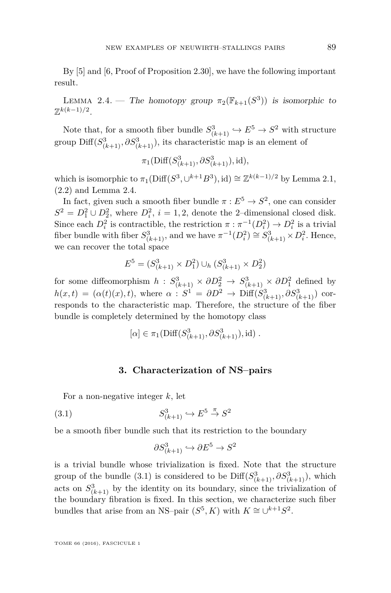By [\[5\]](#page-21-8) and [\[6,](#page-21-3) Proof of Proposition 2.30], we have the following important result.

<span id="page-7-0"></span>LEMMA 2.4. — The homotopy group  $\pi_2(\mathbb{F}_{k+1}(S^3))$  is isomorphic to Z *k*(*k*−1)*/*2 .

Note that, for a smooth fiber bundle  $S^3_{(k+1)} \hookrightarrow E^5 \to S^2$  with structure group  $\text{Diff}(S^3_{(k+1)}, \partial S^3_{(k+1)})$ , its characteristic map is an element of

$$
\pi_1(\text{Diff}(S^3_{(k+1)}, \partial S^3_{(k+1)}), \text{id}),
$$

which is isomorphic to  $\pi_1(\text{Diff}(S^3, \cup^{k+1}B^3), id) \cong \mathbb{Z}^{k(k-1)/2}$  by Lemma [2.1,](#page-5-0) [\(2.2\)](#page-6-1) and Lemma [2.4.](#page-7-0)

In fact, given such a smooth fiber bundle  $\pi : E^5 \to S^2$ , one can consider  $S^2 = D_1^2 \cup D_2^2$ , where  $D_i^2$ ,  $i = 1, 2$ , denote the 2-dimensional closed disk. Since each  $D_i^2$  is contractible, the restriction  $\pi : \pi^{-1}(D_i^2) \to D_i^2$  is a trivial fiber bundle with fiber  $S^3_{(k+1)}$ , and we have  $\pi^{-1}(D_i^2) \cong S^3_{(k+1)} \times D_i^2$ . Hence, we can recover the total space

$$
E^5 = (S^3_{(k+1)} \times D^2_1) \cup_h (S^3_{(k+1)} \times D^2_2)
$$

for some diffeomorphism  $h: S^3_{(k+1)} \times \partial D^2_{2} \to S^3_{(k+1)} \times \partial D^2_{1}$  defined by  $h(x,t) = (\alpha(t)(x), t)$ , where  $\alpha : S^1 = \partial D^2 \to \text{Diff}(S^3_{(k+1)}, \partial S^3_{(k+1)})$  corresponds to the characteristic map. Therefore, the structure of the fiber bundle is completely determined by the homotopy class

$$
[\alpha] \in \pi_1(\text{Diff}(S^3_{(k+1)}, \partial S^3_{(k+1)}), \text{id})
$$
.

#### **3. Characterization of NS–pairs**

<span id="page-7-2"></span>For a non-negative integer *k*, let

$$
(3.1) \tS_{(k+1)}^3 \hookrightarrow E^5 \stackrel{\pi}{\to} S^2
$$

be a smooth fiber bundle such that its restriction to the boundary

<span id="page-7-1"></span>
$$
\partial S^3_{(k+1)} \hookrightarrow \partial E^5 \to S^2
$$

is a trivial bundle whose trivialization is fixed. Note that the structure group of the bundle [\(3.1\)](#page-7-1) is considered to be  $\text{Diff}(S^3_{(k+1)}, \partial S^3_{(k+1)})$ , which acts on  $S^3_{(k+1)}$  by the identity on its boundary, since the trivialization of the boundary fibration is fixed. In this section, we characterize such fiber bundles that arise from an NS–pair  $(S^5, K)$  with  $K \cong \bigcup^{k+1} S^2$ .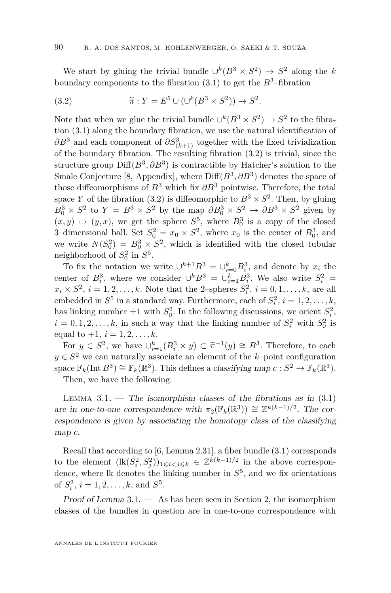We start by gluing the trivial bundle  $\bigcup^k (B^3 \times S^2) \to S^2$  along the *k* boundary components to the fibration  $(3.1)$  to get the  $B^3$ -fibration

<span id="page-8-0"></span>(3.2) 
$$
\widetilde{\pi}: Y = E^5 \cup (\cup^k (B^3 \times S^2)) \to S^2.
$$

Note that when we glue the trivial bundle  $\bigcup^{k}(B^{3} \times S^{2}) \rightarrow S^{2}$  to the fibration [\(3.1\)](#page-7-1) along the boundary fibration, we use the natural identification of  $\partial B^3$  and each component of  $\partial S^3_{(k+1)}$  together with the fixed trivialization of the boundary fibration. The resulting fibration [\(3.2\)](#page-8-0) is trivial, since the structure group  $\text{Diff}(B^3, \partial B^3)$  is contractible by Hatcher's solution to the Smale Conjecture [\[8,](#page-21-5) Appendix], where Diff(*B*<sup>3</sup>, ∂*B*<sup>3</sup>) denotes the space of those diffeomorphisms of  $B^3$  which fix  $\partial B^3$  pointwise. Therefore, the total space *Y* of the fibration [\(3.2\)](#page-8-0) is diffeomorphic to  $B^3 \times S^2$ . Then, by gluing  $B_0^3 \times S^2$  to  $Y = B^3 \times S^2$  by the map  $\partial B_0^3 \times S^2 \to \partial B^3 \times S^2$  given by  $(x, y) \mapsto (y, x)$ , we get the sphere  $S^5$ , where  $B_0^3$  is a copy of the closed 3-dimensional ball. Set  $S_0^2 = x_0 \times S^2$ , where  $x_0$  is the center of  $B_0^3$ , and we write  $N(S_0^2) = B_0^3 \times S^2$ , which is identified with the closed tubular neighborhood of  $S_0^2$  in  $S^5$ .

To fix the notation we write  $\bigcup^{k+1} B^3 = \bigcup_{i=0}^k B_i^3$ , and denote by  $x_i$  the center of  $B_i^3$ , where we consider  $\bigcup^k B^3 = \bigcup_{i=1}^k B_i^3$ . We also write  $S_i^2 =$  $x_i \times S^2$ ,  $i = 1, 2, \ldots, k$ . Note that the 2-spheres  $S_i^2$ ,  $i = 0, 1, \ldots, k$ , are all embedded in  $S^5$  in a standard way. Furthermore, each of  $S_i^2$ ,  $i = 1, 2, ..., k$ , has linking number  $\pm 1$  with  $S_0^2$ . In the following discussions, we orient  $S_i^2$ ,  $i = 0, 1, 2, \ldots, k$ , in such a way that the linking number of  $S_i^2$  with  $S_0^2$  is equal to  $+1$ ,  $i = 1, 2, ..., k$ .

For  $y \in S^2$ , we have  $\bigcup_{i=1}^k (B_i^3 \times y) \subset \tilde{\pi}^{-1}(y) \cong B^3$ . Therefore, to each  $\in S^2$  we get noticeably exposite an element of the *k* neight exponention  $y \in S^2$  we can naturally associate an element of the *k*–point configuration space  $\mathbb{F}_k(\text{Int } B^3) \cong \mathbb{F}_k(\mathbb{R}^3)$ . This defines a classifying map  $c: S^2 \to \mathbb{F}_k(\mathbb{R}^3)$ .

Then, we have the following.

<span id="page-8-1"></span>LEMMA  $3.1.$  — The isomorphism classes of the fibrations as in  $(3.1)$ are in one-to-one correspondence with  $\pi_2(\mathbb{F}_k(\mathbb{R}^3)) \cong \mathbb{Z}^{k(k-1)/2}$ . The correspondence is given by associating the homotopy class of the classifying map *c*.

Recall that according to [\[6,](#page-21-3) Lemma 2.31], a fiber bundle [\(3.1\)](#page-7-1) corresponds to the element  $(\text{lk}(S_i^2, S_j^2))_{1 \leqslant i < j \leqslant k} \in \mathbb{Z}^{k(k-1)/2}$  in the above correspondence, where lk denotes the linking number in *S* 5 , and we fix orientations of  $S_i^2$ ,  $i = 1, 2, ..., k$ , and  $S^5$ .

Proof of Lemma  $3.1.$  $3.1.$   $-$  As has been seen in Section [2,](#page-4-0) the isomorphism classes of the bundles in question are in one-to-one correspondence with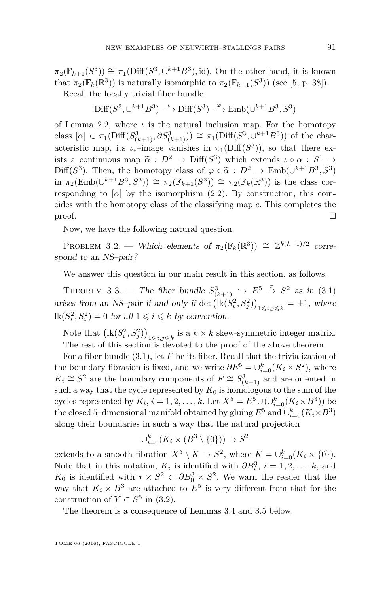$\pi_2(\mathbb{F}_{k+1}(S^3)) \cong \pi_1(\text{Diff}(S^3, \cup^{k+1}B^3), \text{id})$ . On the other hand, it is known that  $\pi_2(\mathbb{F}_k(\mathbb{R}^3))$  is naturally isomorphic to  $\pi_2(\mathbb{F}_{k+1}(S^3))$  (see [\[5,](#page-21-8) p. 38]).

Recall the locally trivial fiber bundle

$$
\mathrm{Diff}(S^3,\cup^{k+1}B^3)\stackrel{\iota}{\longrightarrow} \mathrm{Diff}(S^3)\stackrel{\varphi}{\longrightarrow} \mathrm{Emb}(\cup^{k+1}B^3,S^3)
$$

of Lemma [2.2,](#page-6-2) where  $\iota$  is the natural inclusion map. For the homotopy class  $[\alpha] \in \pi_1(\text{Diff}(S^3_{(k+1)}, \partial S^3_{(k+1)})) \cong \pi_1(\text{Diff}(S^3, \cup^{k+1} B^3))$  of the characteristic map, its  $\iota_*$ –image vanishes in  $\pi_1(\text{Diff}(S^3))$ , so that there exists a continuous map  $\tilde{\alpha}: D^2 \to \text{Diff}(S^3)$  which extends  $\iota \circ \alpha: S^1 \to \text{Diff}(S^3)$ . Then, the homotopy close of  $(a \circ \tilde{\alpha}: D^2 \to \text{Emb}(\mu k+1 B^3 S^3))$  $Diff(S^3)$ . Then, the homotopy class of  $\varphi \circ \tilde{\alpha}: D^2 \to Emb(\cup^{k+1} B^3, S^3)$ <br>in  $\pi$  (Emb( $\cup^{k+1} B^3$ ,  $S^3$ ))  $\sim \pi$  (E (S<sup>3</sup>))  $\sim \pi$  (E (B<sup>3</sup>)) is the class series in  $\pi_2(\text{Emb}(\cup^{k+1}B^3, S^3)) \cong \pi_2(\mathbb{F}_{k+1}(S^3)) \cong \pi_2(\mathbb{F}_k(\mathbb{R}^3))$  is the class corresponding to  $\alpha$  by the isomorphism  $(2.2)$ . By construction, this coincides with the homotopy class of the classifying map *c*. This completes the  $\Box$ 

Now, we have the following natural question.

PROBLEM 3.2. — Which elements of  $\pi_2(\mathbb{F}_k(\mathbb{R}^3)) \cong \mathbb{Z}^{k(k-1)/2}$  correspond to an NS–pair?

We answer this question in our main result in this section, as follows.

<span id="page-9-0"></span>THEOREM 3.3. — The fiber bundle  $S^3_{(k+1)} \hookrightarrow E^5 \stackrel{\pi}{\rightarrow} S^2$  as in [\(3.1\)](#page-7-1) arises from an NS-pair if and only if det  $\left(\text{lk}(S_i^2, S_j^2)\right)_{1 \leq i,j \leq k} = \pm 1$ , where  $\text{lk}(S_i^2, S_i^2) = 0$  for all  $1 \leq i \leq k$  by convention.

Note that  $\left( \text{lk}(S_i^2, S_j^2) \right)_{1 \leq i, j \leq k}$  is a  $k \times k$  skew-symmetric integer matrix. The rest of this section is devoted to the proof of the above theorem.

For a fiber bundle [\(3.1\)](#page-7-1), let *F* be its fiber. Recall that the trivialization of the boundary fibration is fixed, and we write  $\partial E^5 = \bigcup_{i=0}^k (K_i \times S^2)$ , where  $K_i \cong S^2$  are the boundary components of  $F \cong S^3_{(k+1)}$  and are oriented in such a way that the cycle represented by  $K_0$  is homologous to the sum of the cycles represented by  $K_i$ ,  $i = 1, 2, ..., k$ . Let  $X^5 = E^5 \cup (\cup_{i=0}^k (K_i \times B^3))$  be the closed 5–dimensional manifold obtained by gluing  $E^5$  and  $\cup_{i=0}^k (K_i \times B^3)$ along their boundaries in such a way that the natural projection

$$
\bigcup_{i=0}^k (K_i \times (B^3 \setminus \{0\})) \to S^2
$$

extends to a smooth fibration  $X^5 \setminus K \to S^2$ , where  $K = \bigcup_{i=0}^k (K_i \times \{0\})$ . Note that in this notation,  $K_i$  is identified with  $\partial B_i^3$ ,  $i = 1, 2, \ldots, k$ , and *K*<sub>0</sub> is identified with  $* \times S^2$  ⊂  $\partial B_0^3 \times S^2$ . We warn the reader that the way that  $K_i \times B^3$  are attached to  $E^5$  is very different from that for the construction of  $Y \subset S^5$  in [\(3.2\)](#page-8-0).

The theorem is a consequence of Lemmas [3.4](#page-10-0) and [3.5](#page-12-0) below.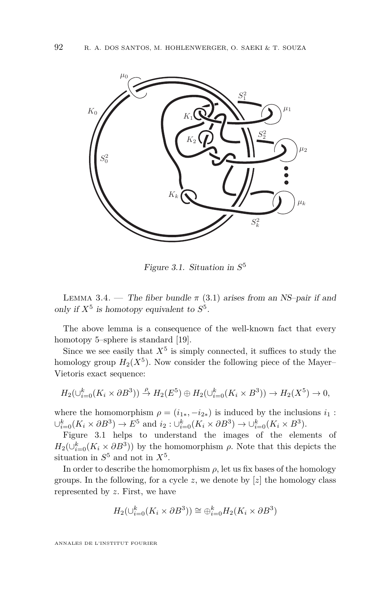

<span id="page-10-1"></span>Figure 3.1. Situation in *S* 5

<span id="page-10-0"></span>LEMMA 3.4. — The fiber bundle  $\pi$  [\(3.1\)](#page-7-1) arises from an NS-pair if and only if  $X^5$  is homotopy equivalent to  $S^5$ .

The above lemma is a consequence of the well-known fact that every homotopy 5–sphere is standard [\[19\]](#page-22-5).

Since we see easily that  $X^5$  is simply connected, it suffices to study the homology group  $H_2(X^5)$ . Now consider the following piece of the Mayer– Vietoris exact sequence:

$$
H_2(\cup_{i=0}^k (K_i \times \partial B^3)) \stackrel{\rho}{\to} H_2(E^5) \oplus H_2(\cup_{i=0}^k (K_i \times B^3)) \to H_2(X^5) \to 0,
$$

where the homomorphism  $\rho = (i_{1*}, -i_{2*})$  is induced by the inclusions  $i_1$ :  $\cup_{i=0}^{k} (K_i \times \partial B^3) \to E^5$  and  $i_2 : \cup_{i=0}^{k} (K_i \times \partial B^3) \to \cup_{i=0}^{k} (K_i \times B^3)$ .

Figure [3.1](#page-10-1) helps to understand the images of the elements of  $H_2(\cup_{i=0}^k (K_i \times \partial B^3))$  by the homomorphism *ρ*. Note that this depicts the situation in  $S^5$  and not in  $X^5$ .

In order to describe the homomorphism  $\rho$ , let us fix bases of the homology groups. In the following, for a cycle  $z$ , we denote by  $[z]$  the homology class represented by *z*. First, we have

$$
H_2(\cup_{i=0}^k (K_i \times \partial B^3)) \cong \bigoplus_{i=0}^k H_2(K_i \times \partial B^3)
$$

ANNALES DE L'INSTITUT FOURIER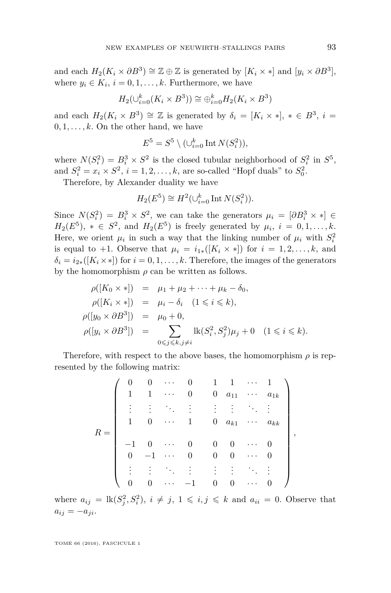and each  $H_2(K_i \times \partial B^3) \cong \mathbb{Z} \oplus \mathbb{Z}$  is generated by  $[K_i \times *]$  and  $[y_i \times \partial B^3]$ , where  $y_i \in K_i$ ,  $i = 0, 1, \ldots, k$ . Furthermore, we have

$$
H_2(\cup_{i=0}^k (K_i \times B^3)) \cong \bigoplus_{i=0}^k H_2(K_i \times B^3)
$$

and each  $H_2(K_i \times B^3) \cong \mathbb{Z}$  is generated by  $\delta_i = [K_i \times *], * \in B^3, i =$  $0, 1, \ldots, k$ . On the other hand, we have

$$
E^5 = S^5 \setminus (\cup_{i=0}^k \operatorname{Int} N(S_i^2)),
$$

where  $N(S_i^2) = B_i^3 \times S^2$  is the closed tubular neighborhood of  $S_i^2$  in  $S^5$ , and  $S_i^2 = x_i \times S^2$ ,  $i = 1, 2, ..., k$ , are so-called "Hopf duals" to  $S_0^2$ .

Therefore, by Alexander duality we have

$$
H_2(E^5)\cong H^2(\cup_{i=0}^k\mathrm{Int}\,N(S_i^2)).
$$

Since  $N(S_i^2) = B_i^3 \times S^2$ , we can take the generators  $\mu_i = [\partial B_i^3 \times *] \in$  $H_2(E^5)$ ,  $* \in S^2$ , and  $H_2(E^5)$  is freely generated by  $\mu_i$ ,  $i = 0, 1, ..., k$ . Here, we orient  $\mu_i$  in such a way that the linking number of  $\mu_i$  with  $S_i^2$ is equal to +1. Observe that  $\mu_i = i_{1*}([K_i \times *)$  for  $i = 1, 2, \ldots, k$ , and  $\delta_i = i_{2*}([K_i \times *)$  for  $i = 0, 1, \ldots, k$ . Therefore, the images of the generators by the homomorphism  $\rho$  can be written as follows.

$$
\rho([K_0 \times *]) = \mu_1 + \mu_2 + \dots + \mu_k - \delta_0, \n\rho([K_i \times *)) = \mu_i - \delta_i \quad (1 \leq i \leq k), \n\rho([y_0 \times \partial B^3]) = \mu_0 + 0, \n\rho([y_i \times \partial B^3]) = \sum_{0 \leq j \leq k, j \neq i} lk(S_i^2, S_j^2)\mu_j + 0 \quad (1 \leq i \leq k).
$$

Therefore, with respect to the above bases, the homomorphism  $\rho$  is represented by the following matrix:

$$
R = \left(\begin{array}{ccccc} 0 & 0 & \cdots & 0 & 1 & 1 & \cdots & 1 \\ 1 & 1 & \cdots & 0 & 0 & a_{11} & \cdots & a_{1k} \\ \vdots & \vdots & \ddots & \vdots & \vdots & \vdots & \ddots & \vdots \\ 1 & 0 & \cdots & 1 & 0 & a_{k1} & \cdots & a_{kk} \\ -1 & 0 & \cdots & 0 & 0 & 0 & \cdots & 0 \\ 0 & -1 & \cdots & 0 & 0 & 0 & \cdots & 0 \\ \vdots & \vdots & \ddots & \vdots & \vdots & \vdots & \ddots & \vdots \\ 0 & 0 & \cdots & -1 & 0 & 0 & \cdots & 0 \end{array}\right),
$$

where  $a_{ij} = \text{lk}(S_j^2, S_i^2), i \neq j, 1 \leq i, j \leq k$  and  $a_{ii} = 0$ . Observe that  $a_{ij} = -a_{ji}.$ 

TOME 66 (2016), FASCICULE 1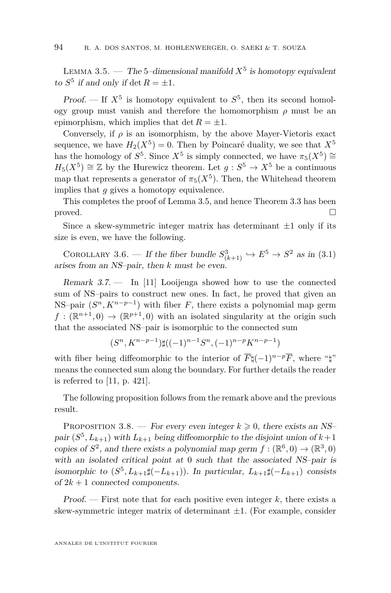<span id="page-12-0"></span>LEMMA 3.5.  $\cdots$  The 5-dimensional manifold  $X^5$  is homotopy equivalent to  $S^5$  if and only if det  $R = \pm 1$ .

Proof.  $\overline{\phantom{a}}$  If  $X^5$  is homotopy equivalent to  $S^5$ , then its second homology group must vanish and therefore the homomorphism  $\rho$  must be an epimorphism, which implies that  $\det R = \pm 1$ .

Conversely, if  $\rho$  is an isomorphism, by the above Mayer-Vietoris exact sequence, we have  $H_2(X^5) = 0$ . Then by Poincaré duality, we see that  $X^5$ has the homology of  $S^5$ . Since  $X^5$  is simply connected, we have  $\pi_5(X^5) \cong$  $H_5(X^5) \cong \mathbb{Z}$  by the Hurewicz theorem. Let  $g : S^5 \to X^5$  be a continuous map that represents a generator of  $\pi_5(X^5)$ . Then, the Whitehead theorem implies that *g* gives a homotopy equivalence.

This completes the proof of Lemma [3.5,](#page-12-0) and hence Theorem [3.3](#page-9-0) has been  $p$ roved.

Since a skew-symmetric integer matrix has determinant  $\pm 1$  only if its size is even, we have the following.

COROLLARY 3.6. — If the fiber bundle  $S^3_{(k+1)} \hookrightarrow E^5 \rightarrow S^2$  as in [\(3.1\)](#page-7-1) arises from an NS–pair, then *k* must be even.

<span id="page-12-1"></span>Remark  $3.7.$  — In [\[11\]](#page-21-1) Looijenga showed how to use the connected sum of NS–pairs to construct new ones. In fact, he proved that given an NS–pair  $(S^n, K^{n-p-1})$  with fiber *F*, there exists a polynomial map germ  $f: (\mathbb{R}^{n+1},0) \to (\mathbb{R}^{p+1},0)$  with an isolated singularity at the origin such that the associated NS–pair is isomorphic to the connected sum

$$
(S^n, K^{n-p-1})\sharp((-1)^{n-1}S^n, (-1)^{n-p}K^{n-p-1})
$$

with fiber being diffeomorphic to the interior of  $\overline{F} \sharp (-1)^{n-p} \overline{F}$ , where " $\sharp$ " means the connected sum along the boundary. For further details the reader is referred to [\[11,](#page-21-1) p. 421].

The following proposition follows from the remark above and the previous result.

<span id="page-12-2"></span>PROPOSITION 3.8. — For every even integer  $k \geq 0$ , there exists an NS– pair  $(S^5, L_{k+1})$  with  $L_{k+1}$  being diffeomorphic to the disjoint union of  $k+1$ copies of  $S^2$ , and there exists a polynomial map germ  $f : (\mathbb{R}^6, 0) \to (\mathbb{R}^3, 0)$ with an isolated critical point at 0 such that the associated NS-pair is isomorphic to  $(S^5, L_{k+1}\sharp(-L_{k+1}))$ . In particular,  $L_{k+1}\sharp(-L_{k+1})$  consists of  $2k + 1$  connected components.

Proof. — First note that for each positive even integer *k*, there exists a skew-symmetric integer matrix of determinant  $\pm 1$ . (For example, consider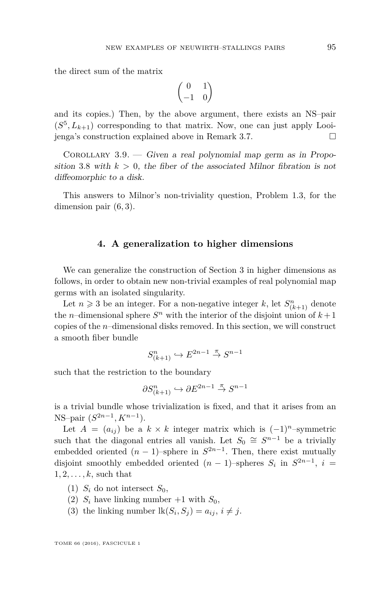the direct sum of the matrix

$$
\begin{pmatrix} 0 & 1 \\ -1 & 0 \end{pmatrix}
$$

and its copies.) Then, by the above argument, there exists an NS–pair  $(S<sup>5</sup>, L<sub>k+1</sub>)$  corresponding to that matrix. Now, one can just apply Looijenga's construction explained above in Remark [3.7.](#page-12-1)

COROLLARY  $3.9.$  — Given a real polynomial map germ as in Propo-sition [3.8](#page-12-2) with  $k > 0$ , the fiber of the associated Milnor fibration is not diffeomorphic to a disk.

This answers to Milnor's non-triviality question, Problem [1.3,](#page-2-1) for the dimension pair (6*,* 3).

#### **4. A generalization to higher dimensions**

<span id="page-13-0"></span>We can generalize the construction of Section [3](#page-7-2) in higher dimensions as follows, in order to obtain new non-trivial examples of real polynomial map germs with an isolated singularity.

Let  $n \geq 3$  be an integer. For a non-negative integer  $k$ , let  $S_{(k+1)}^n$  denote the *n*-dimensional sphere  $S<sup>n</sup>$  with the interior of the disjoint union of  $k+1$ copies of the *n*–dimensional disks removed. In this section, we will construct a smooth fiber bundle

$$
S_{(k+1)}^n \hookrightarrow E^{2n-1} \overset{\pi}{\to} S^{n-1}
$$

such that the restriction to the boundary

$$
\partial S_{(k+1)}^n \hookrightarrow \partial E^{2n-1} \stackrel{\pi}{\to} S^{n-1}
$$

is a trivial bundle whose trivialization is fixed, and that it arises from an NS–pair  $(S^{2n-1}, K^{n-1})$ .

Let  $A = (a_{ij})$  be a  $k \times k$  integer matrix which is  $(-1)^n$ –symmetric such that the diagonal entries all vanish. Let  $S_0 \cong S^{n-1}$  be a trivially embedded oriented  $(n-1)$ –sphere in  $S^{2n-1}$ . Then, there exist mutually disjoint smoothly embedded oriented  $(n-1)$ –spheres  $S_i$  in  $S^{2n-1}$ ,  $i =$  $1, 2, \ldots, k$ , such that

- (1)  $S_i$  do not intersect  $S_0$ ,
- (2)  $S_i$  have linking number  $+1$  with  $S_0$ ,
- (3) the linking number  $lk(S_i, S_j) = a_{ij}, i \neq j$ .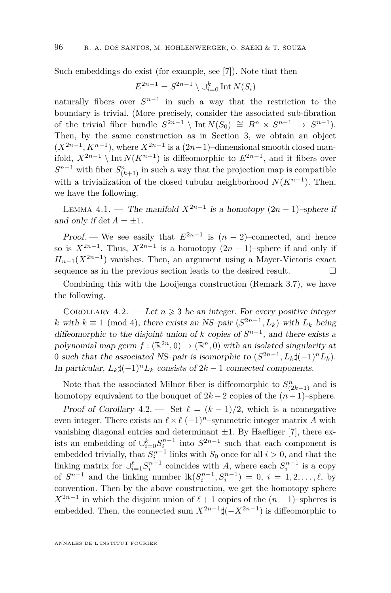Such embeddings do exist (for example, see [\[7\]](#page-21-9)). Note that then

$$
E^{2n-1} = S^{2n-1} \setminus \cup_{i=0}^{k} \text{Int } N(S_i)
$$

naturally fibers over  $S^{n-1}$  in such a way that the restriction to the boundary is trivial. (More precisely, consider the associated sub-fibration of the trivial fiber bundle  $S^{2n-1} \setminus \text{Int } N(S_0) \cong B^n \times S^{n-1} \to S^{n-1}$ . Then, by the same construction as in Section [3,](#page-7-2) we obtain an object  $(X^{2n-1}, K^{n-1})$ , where  $X^{2n-1}$  is a  $(2n-1)$ –dimensional smooth closed manifold,  $X^{2n-1} \setminus \text{Int } N(K^{n-1})$  is diffeomorphic to  $E^{2n-1}$ , and it fibers over  $S^{n-1}$  with fiber  $S^{n}_{(k+1)}$  in such a way that the projection map is compatible with a trivialization of the closed tubular neighborhood *N*(*Kn*−<sup>1</sup> ). Then, we have the following.

LEMMA 4.1. — The manifold  $X^{2n-1}$  is a homotopy  $(2n-1)$ -sphere if and only if  $\det A = \pm 1$ .

Proof. — We see easily that  $E^{2n-1}$  is  $(n-2)$ –connected, and hence so is  $X^{2n-1}$ . Thus,  $X^{2n-1}$  is a homotopy  $(2n-1)$ –sphere if and only if  $H_{n-1}(X^{2n-1})$  vanishes. Then, an argument using a Mayer-Vietoris exact sequence as in the previous section leads to the desired result.  $\Box$ 

Combining this with the Looijenga construction (Remark [3.7\)](#page-12-1), we have the following.

<span id="page-14-0"></span>COROLLARY 4.2. — Let  $n \geq 3$  be an integer. For every positive integer *k* with  $k \equiv 1 \pmod{4}$ , there exists an NS–pair  $(S^{2n-1}, L_k)$  with  $L_k$  being diffeomorphic to the disjoint union of *k* copies of  $S^{n-1}$ , and there exists a polynomial map germ  $f : (\mathbb{R}^{2n}, 0) \to (\mathbb{R}^{n}, 0)$  with an isolated singularity at 0 such that the associated NS–pair is isomorphic to  $(S^{2n-1}, L_k \sharp (-1)^n L_k)$ . In particular,  $L_k \sharp (-1)^n L_k$  consists of  $2k-1$  connected components.

Note that the associated Milnor fiber is diffeomorphic to  $S_{(2k-1)}^n$  and is homotopy equivalent to the bouquet of  $2k - 2$  copies of the  $(n - 1)$ –sphere.

Proof of Corollary [4.2](#page-14-0). — Set  $\ell = (k-1)/2$ , which is a nonnegative even integer. There exists an  $\ell \times \ell$  (−1)<sup>n</sup>–symmetric integer matrix *A* with vanishing diagonal entries and determinant  $\pm 1$ . By Haefliger [\[7\]](#page-21-9), there exists an embedding of  $\bigcup_{i=0}^{k} S_i^{n-1}$  into  $S^{2n-1}$  such that each component is embedded trivially, that  $S_i^{n-1}$  links with  $S_0$  once for all  $i > 0$ , and that the linking matrix for  $\bigcup_{i=1}^{\ell} S_i^{n-1}$  coincides with *A*, where each  $S_i^{n-1}$  is a copy of  $S^{n-1}$  and the linking number  $lk(S_i^{n-1}, S_i^{n-1}) = 0, i = 1, 2, ..., \ell$ , by convention. Then by the above construction, we get the homotopy sphere  $X^{2n-1}$  in which the disjoint union of  $\ell + 1$  copies of the  $(n-1)$ –spheres is embedded. Then, the connected sum  $X^{2n-1}\sharp(-X^{2n-1})$  is diffeomorphic to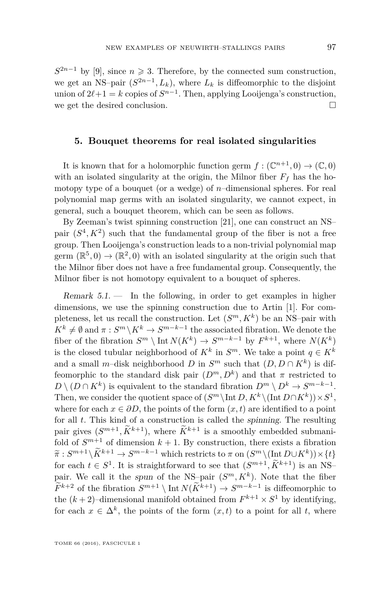$S^{2n-1}$  by [\[9\]](#page-21-10), since  $n \ge 3$ . Therefore, by the connected sum construction, we get an NS-pair  $(S^{2n-1}, L_k)$ , where  $L_k$  is diffeomorphic to the disjoint union of  $2\ell+1 = k$  copies of  $S^{n-1}$ . Then, applying Looijenga's construction, we get the desired conclusion.

#### **5. Bouquet theorems for real isolated singularities**

It is known that for a holomorphic function germ  $f: (\mathbb{C}^{n+1},0) \to (\mathbb{C},0)$ with an isolated singularity at the origin, the Milnor fiber  $F_f$  has the homotopy type of a bouquet (or a wedge) of *n*–dimensional spheres. For real polynomial map germs with an isolated singularity, we cannot expect, in general, such a bouquet theorem, which can be seen as follows.

By Zeeman's twist spinning construction [\[21\]](#page-22-6), one can construct an NS– pair  $(S^4, K^2)$  such that the fundamental group of the fiber is not a free group. Then Looijenga's construction leads to a non-trivial polynomial map germ  $(\mathbb{R}^5,0) \to (\mathbb{R}^2,0)$  with an isolated singularity at the origin such that the Milnor fiber does not have a free fundamental group. Consequently, the Milnor fiber is not homotopy equivalent to a bouquet of spheres.

Remark  $5.1$ . In the following, in order to get examples in higher dimensions, we use the spinning construction due to Artin [\[1\]](#page-21-11). For completeness, let us recall the construction. Let  $(S^m, K^k)$  be an NS-pair with  $K^k \neq \emptyset$  and  $\pi : S^m \setminus K^k \to S^{m-k-1}$  the associated fibration. We denote the fiber of the fibration  $S^m \setminus \text{Int } N(K^k) \to S^{m-k-1}$  by  $F^{k+1}$ , where  $N(K^k)$ is the closed tubular neighborhood of  $K^k$  in  $S^m$ . We take a point  $q \in K^k$ and a small *m*-disk neighborhood *D* in  $S<sup>m</sup>$  such that  $(D, D \cap K<sup>k</sup>)$  is diffeomorphic to the standard disk pair  $(D^m, D^k)$  and that  $\pi$  restricted to  $D \setminus (D \cap K^k)$  is equivalent to the standard fibration  $D^m \setminus D^k \to S^{m-k-1}$ . Then, we consider the quotient space of  $(S^m \setminus \text{Int } D, K^k \setminus (\text{Int } D \cap K^k)) \times S^1$ , where for each  $x \in \partial D$ , the points of the form  $(x, t)$  are identified to a point for all *t*. This kind of a construction is called the spinning. The resulting pair gives  $(S^{m+1}, \tilde{K}^{k+1})$ , where  $\tilde{K}^{k+1}$  is a smoothly embedded submanifold of  $S^{m+1}$  of dimension  $k+1$ . By construction, there exists a fibration  $\widetilde{\pi}: S^{m+1} \setminus K^{k+1} \to S^{m-k-1}$  which restricts to  $\pi$  on  $(S^m \setminus (\text{Int } D \cup K^k)) \times \{t\}$ <br>for soch  $t \in S^1$ . It is straightforward to see that  $(S^{m+1} \widetilde{K}^{k+1})$  is an NS for each  $t \in S^1$ . It is straightforward to see that  $(S^{m+1}, \tilde{K}^{k+1})$  is an NS– pair. We call it the spun of the NS-pair  $(S^m, K^k)$ . Note that the fiber  $F^{k+2}$  of the fibration  $S^{m+1} \setminus \text{Int } N(K^{k+1}) \to S^{m-k-1}$  is diffeomorphic to the  $(k+2)$ -dimensional manifold obtained from  $F^{k+1} \times S^1$  by identifying, for each  $x \in \Delta^k$ , the points of the form  $(x, t)$  to a point for all *t*, where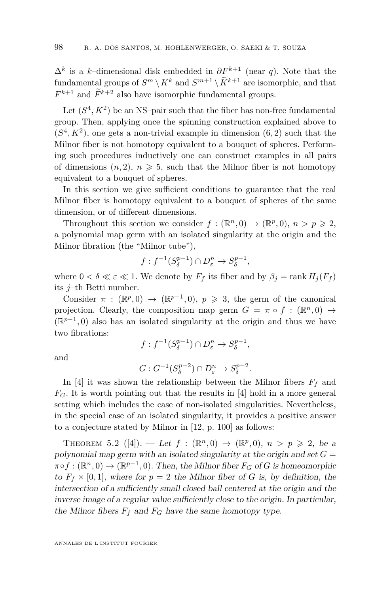∆*<sup>k</sup>* is a *k*–dimensional disk embedded in *∂Fk*+1 (near *q*). Note that the fundamental groups of  $S^m \setminus K^k$  and  $S^{m+1} \setminus K^{k+1}$  are isomorphic, and that  $F^{k+1}$  and  $F^{k+2}$  also have isomorphic fundamental groups.

Let  $(S<sup>4</sup>, K<sup>2</sup>)$  be an NS-pair such that the fiber has non-free fundamental group. Then, applying once the spinning construction explained above to  $(S<sup>4</sup>, K<sup>2</sup>)$ , one gets a non-trivial example in dimension  $(6, 2)$  such that the Milnor fiber is not homotopy equivalent to a bouquet of spheres. Performing such procedures inductively one can construct examples in all pairs of dimensions  $(n, 2)$ ,  $n \geq 5$ , such that the Milnor fiber is not homotopy equivalent to a bouquet of spheres.

In this section we give sufficient conditions to guarantee that the real Milnor fiber is homotopy equivalent to a bouquet of spheres of the same dimension, or of different dimensions.

Throughout this section we consider  $f : (\mathbb{R}^n, 0) \to (\mathbb{R}^p, 0), n > p \geq 2$ , a polynomial map germ with an isolated singularity at the origin and the Milnor fibration (the "Milnor tube"),

$$
f: f^{-1}(S^{p-1}_{\delta})\cap D^n_{\varepsilon}\to S^{p-1}_{\delta},
$$

where  $0 < \delta \ll \varepsilon \ll 1$ . We denote by  $F_f$  its fiber and by  $\beta_j = \text{rank } H_j(F_f)$ its *j*–th Betti number.

Consider  $\pi$  :  $(\mathbb{R}^p, 0) \to (\mathbb{R}^{p-1}, 0), p \geq 3$ , the germ of the canonical projection. Clearly, the composition map germ  $G = \pi \circ f : (\mathbb{R}^n, 0) \to$  $(\mathbb{R}^{p-1},0)$  also has an isolated singularity at the origin and thus we have two fibrations:

$$
f: f^{-1}(S_{\delta}^{p-1}) \cap D_{\varepsilon}^{n} \to S_{\delta}^{p-1},
$$

and

$$
G: G^{-1}(S^{p-2}_{\delta})\cap D^n_{\varepsilon}\to S^{p-2}_{\delta}.
$$

In [\[4\]](#page-21-12) it was shown the relationship between the Milnor fibers  $F_f$  and  $F_G$ . It is worth pointing out that the results in [\[4\]](#page-21-12) hold in a more general setting which includes the case of non-isolated singularities. Nevertheless, in the special case of an isolated singularity, it provides a positive answer to a conjecture stated by Milnor in [\[12,](#page-21-0) p. 100] as follows:

<span id="page-16-0"></span>THEOREM 5.2 ([\[4\]](#page-21-12)). — Let  $f : (\mathbb{R}^n, 0) \to (\mathbb{R}^p, 0), n > p \geq 2$ , be a polynomial map germ with an isolated singularity at the origin and set  $G =$  $\pi \circ f : (\mathbb{R}^n, 0) \to (\mathbb{R}^{p-1}, 0)$ . Then, the Milnor fiber  $F_G$  of *G* is homeomorphic to  $F_f \times [0,1]$ , where for  $p = 2$  the Milnor fiber of *G* is, by definition, the intersection of a sufficiently small closed ball centered at the origin and the inverse image of a regular value sufficiently close to the origin. In particular, the Milnor fibers  $F_f$  and  $F_G$  have the same homotopy type.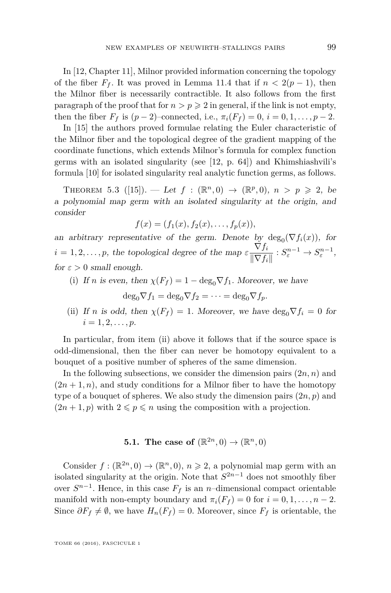In [\[12,](#page-21-0) Chapter 11], Milnor provided information concerning the topology of the fiber  $F_f$ . It was proved in Lemma 11.4 that if  $n < 2(p-1)$ , then the Milnor fiber is necessarily contractible. It also follows from the first paragraph of the proof that for  $n > p \geq 2$  in general, if the link is not empty, then the fiber  $F_f$  is  $(p-2)$ –connected, i.e.,  $\pi_i(F_f) = 0$ ,  $i = 0, 1, ..., p-2$ .

In [\[15\]](#page-22-4) the authors proved formulae relating the Euler characteristic of the Milnor fiber and the topological degree of the gradient mapping of the coordinate functions, which extends Milnor's formula for complex function germs with an isolated singularity (see [\[12,](#page-21-0) p. 64]) and Khimshiashvili's formula [\[10\]](#page-21-13) for isolated singularity real analytic function germs, as follows.

<span id="page-17-0"></span>THEOREM 5.3 ([\[15\]](#page-22-4)). — Let  $f : (\mathbb{R}^n, 0) \to (\mathbb{R}^p, 0), n > p \ge 2$ , be a polynomial map germ with an isolated singularity at the origin, and consider

$$
f(x) = (f_1(x), f_2(x), \dots, f_p(x)),
$$

an arbitrary representative of the germ. Denote  $\mathbf{b}y \, \text{deg}_{0}(\nabla f_i(x))$ , for  $i = 1, 2, \ldots, p$ , the topological degree of the map  $\varepsilon \frac{\nabla f_i}{\|\nabla f_i\|}$  $\frac{\nabla f_i}{\|\nabla f_i\|}: S_{\varepsilon}^{n-1} \to S_{\varepsilon}^{n-1},$ for  $\varepsilon > 0$  small enough.

(i) If *n* is even, then  $\chi(F_f) = 1 - \deg_0 \nabla f_1$ . Moreover, we have

$$
\deg_0 \nabla f_1 = \deg_0 \nabla f_2 = \cdots = \deg_0 \nabla f_p.
$$

(ii) If *n* is odd, then  $\chi(F_f) = 1$ . Moreover, we have  $\deg_0 \nabla f_i = 0$  for  $i = 1, 2, \ldots, p.$ 

In particular, from item (ii) above it follows that if the source space is odd-dimensional, then the fiber can never be homotopy equivalent to a bouquet of a positive number of spheres of the same dimension.

In the following subsections, we consider the dimension pairs  $(2n, n)$  and  $(2n+1,n)$ , and study conditions for a Milnor fiber to have the homotopy type of a bouquet of spheres. We also study the dimension pairs (2*n, p*) and  $(2n+1, p)$  with  $2 \leq p \leq n$  using the composition with a projection.

#### **5.1.** The case of  $(\mathbb{R}^{2n}, 0) \to (\mathbb{R}^{n}, 0)$

Consider  $f: (\mathbb{R}^{2n}, 0) \to (\mathbb{R}^{n}, 0), n \geq 2$ , a polynomial map germ with an isolated singularity at the origin. Note that  $S^{2n-1}$  does not smoothly fiber over  $S^{n-1}$ . Hence, in this case  $F_f$  is an *n*-dimensional compact orientable manifold with non-empty boundary and  $\pi_i(F_f) = 0$  for  $i = 0, 1, \ldots, n-2$ . Since  $\partial F_f \neq \emptyset$ , we have  $H_n(F_f) = 0$ . Moreover, since  $F_f$  is orientable, the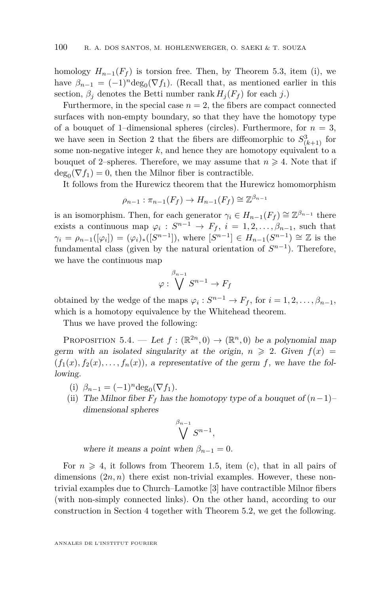homology  $H_{n-1}(F_f)$  is torsion free. Then, by Theorem [5.3,](#page-17-0) item (i), we have  $\beta_{n-1} = (-1)^n \text{deg}_0(\nabla f_1)$ . (Recall that, as mentioned earlier in this section,  $\beta_i$  denotes the Betti number rank  $H_i(F_f)$  for each *j*.)

Furthermore, in the special case  $n = 2$ , the fibers are compact connected surfaces with non-empty boundary, so that they have the homotopy type of a bouquet of 1–dimensional spheres (circles). Furthermore, for  $n = 3$ , we have seen in Section [2](#page-4-0) that the fibers are diffeomorphic to  $S^3_{(k+1)}$  for some non-negative integer *k*, and hence they are homotopy equivalent to a bouquet of 2–spheres. Therefore, we may assume that  $n \geq 4$ . Note that if  $\deg_0(\nabla f_1) = 0$ , then the Milnor fiber is contractible.

It follows from the Hurewicz theorem that the Hurewicz homomorphism

$$
\rho_{n-1} : \pi_{n-1}(F_f) \to H_{n-1}(F_f) \cong \mathbb{Z}^{\beta_{n-1}}
$$

is an isomorphism. Then, for each generator  $\gamma_i \in H_{n-1}(F_f) \cong \mathbb{Z}^{\beta_{n-1}}$  there exists a continuous map  $\varphi_i: S^{n-1} \to F_f$ ,  $i = 1, 2, \ldots, \beta_{n-1}$ , such that  $\gamma_i = \rho_{n-1}([\varphi_i]) = (\varphi_i)_*([S^{n-1}])$ , where  $[S^{n-1}] \in H_{n-1}(S^{n-1}) \cong \mathbb{Z}$  is the fundamental class (given by the natural orientation of  $S^{n-1}$ ). Therefore, we have the continuous map

$$
\varphi : \bigvee^{\beta_{n-1}} S^{n-1} \to F_f
$$

obtained by the wedge of the maps  $\varphi_i: S^{n-1} \to F_f$ , for  $i = 1, 2, \ldots, \beta_{n-1}$ , which is a homotopy equivalence by the Whitehead theorem.

Thus we have proved the following:

<span id="page-18-0"></span>PROPOSITION 5.4. — Let  $f : (\mathbb{R}^{2n}, 0) \to (\mathbb{R}^{n}, 0)$  be a polynomial map germ with an isolated singularity at the origin,  $n \ge 2$ . Given  $f(x) =$  $(f_1(x), f_2(x), \ldots, f_n(x))$ , a representative of the germ f, we have the following.

- (i)  $\beta_{n-1} = (-1)^n \text{deg}_0(\nabla f_1).$
- (ii) The Milnor fiber  $F_f$  has the homotopy type of a bouquet of  $(n-1)$  dimensional spheres

$$
\bigvee^{\beta_{n-1}} S^{n-1},
$$

where it means a point when  $\beta_{n-1} = 0$ .

For  $n \geq 4$ , it follows from Theorem [1.5,](#page-3-0) item (c), that in all pairs of dimensions  $(2n, n)$  there exist non-trivial examples. However, these nontrivial examples due to Church–Lamotke [\[3\]](#page-21-2) have contractible Milnor fibers (with non-simply connected links). On the other hand, according to our construction in Section [4](#page-13-0) together with Theorem [5.2,](#page-16-0) we get the following.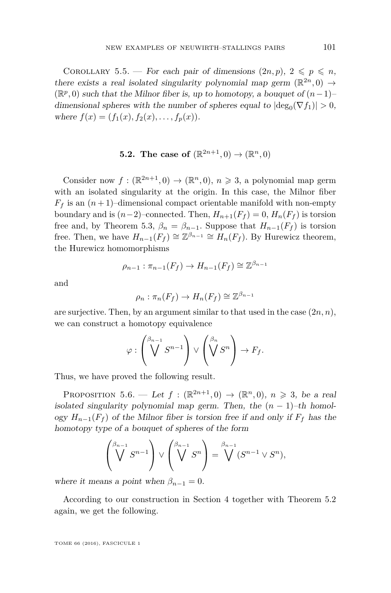COROLLARY 5.5. — For each pair of dimensions  $(2n, p)$ ,  $2 \leq p \leq n$ , there exists a real isolated singularity polynomial map germ  $(\mathbb{R}^{2n},0) \rightarrow$  $(\mathbb{R}^p, 0)$  such that the Milnor fiber is, up to homotopy, a bouquet of  $(n-1)$ − dimensional spheres with the number of spheres equal to  $|\text{deg}_{0}(\nabla f_{1})| > 0$ , where  $f(x) = (f_1(x), f_2(x), \ldots, f_p(x)).$ 

#### **5.2.** The case of  $(\mathbb{R}^{2n+1}, 0) \to (\mathbb{R}^n, 0)$

Consider now  $f : (\mathbb{R}^{2n+1}, 0) \to (\mathbb{R}^n, 0), n \geq 3$ , a polynomial map germ with an isolated singularity at the origin. In this case, the Milnor fiber  $F_f$  is an  $(n+1)$ –dimensional compact orientable manifold with non-empty boundary and is  $(n-2)$ –connected. Then,  $H_{n+1}(F_f) = 0$ ,  $H_n(F_f)$  is torsion free and, by Theorem [5.3,](#page-17-0)  $\beta_n = \beta_{n-1}$ . Suppose that  $H_{n-1}(F_f)$  is torsion free. Then, we have  $H_{n-1}(F_f) \cong \mathbb{Z}^{\beta_{n-1}} \cong H_n(F_f)$ . By Hurewicz theorem, the Hurewicz homomorphisms

$$
\rho_{n-1} : \pi_{n-1}(F_f) \to H_{n-1}(F_f) \cong \mathbb{Z}^{\beta_{n-1}}
$$

and

$$
\rho_n : \pi_n(F_f) \to H_n(F_f) \cong \mathbb{Z}^{\beta_{n-1}}
$$

are surjective. Then, by an argument similar to that used in the case  $(2n, n)$ , we can construct a homotopy equivalence

$$
\varphi : \left(\bigvee^{\beta_{n-1}} S^{n-1}\right) \vee \left(\bigvee^{\beta_n} S^n\right) \to F_f.
$$

Thus, we have proved the following result.

<span id="page-19-0"></span>PROPOSITION 5.6. — Let  $f : (\mathbb{R}^{2n+1}, 0) \to (\mathbb{R}^n, 0), n \geq 3$ , be a real isolated singularity polynomial map germ. Then, the  $(n-1)-th$  homology  $H_{n-1}(F_f)$  of the Milnor fiber is torsion free if and only if  $F_f$  has the homotopy type of a bouquet of spheres of the form

$$
\left(\bigvee^{\beta_{n-1}} S^{n-1}\right) \vee \left(\bigvee^{\beta_{n-1}} S^{n}\right) = \bigvee^{\beta_{n-1}} (S^{n-1} \vee S^{n}),
$$

where it means a point when  $\beta_{n-1} = 0$ .

According to our construction in Section [4](#page-13-0) together with Theorem [5.2](#page-16-0) again, we get the following.

TOME 66 (2016), FASCICULE 1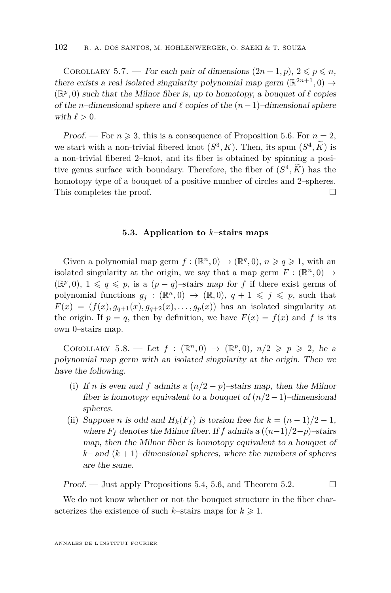COROLLARY 5.7. — For each pair of dimensions  $(2n+1, p)$ ,  $2 \leq p \leq n$ , there exists a real isolated singularity polynomial map germ  $(\mathbb{R}^{2n+1}, 0) \rightarrow$ ( $\mathbb{R}^p, 0$ ) such that the Milnor fiber is, up to homotopy, a bouquet of  $\ell$  copies of the *n*–dimensional sphere and  $\ell$  copies of the  $(n-1)$ –dimensional sphere with  $\ell > 0$ .

Proof. — For  $n \geq 3$ , this is a consequence of Proposition [5.6.](#page-19-0) For  $n = 2$ , we start with a non-trivial fibered knot  $(S^3, K)$ . Then, its spun  $(S^4, K)$  is a non-trivial fibered 2–knot, and its fiber is obtained by spinning a positive genus surface with boundary. Therefore, the fiber of  $(S^4, K)$  has the homotopy type of a bouquet of a positive number of circles and 2–spheres. This completes the proof.

#### **5.3. Application to** *k***–stairs maps**

Given a polynomial map germ  $f : (\mathbb{R}^n, 0) \to (\mathbb{R}^q, 0), n \geqslant q \geqslant 1$ , with an isolated singularity at the origin, we say that a map germ  $F : (\mathbb{R}^n, 0) \to$  $(\mathbb{R}^p, 0), 1 \leq q \leq p$ , is a  $(p - q)$ -stairs map for *f* if there exist germs of polynomial functions  $g_j : (\mathbb{R}^n, 0) \to (\mathbb{R}, 0), q+1 \leq j \leq p$ , such that  $F(x) = (f(x), g_{q+1}(x), g_{q+2}(x), \ldots, g_p(x))$  has an isolated singularity at the origin. If  $p = q$ , then by definition, we have  $F(x) = f(x)$  and f is its own 0–stairs map.

COROLLARY 5.8. - Let  $f : (\mathbb{R}^n, 0) \to (\mathbb{R}^p, 0), n/2 \geq p \geq 2$ , be a polynomial map germ with an isolated singularity at the origin. Then we have the following.

- (i) If *n* is even and *f* admits a  $(n/2 p)$ –stairs map, then the Milnor fiber is homotopy equivalent to a bouquet of (*n/*2−1)–dimensional spheres.
- (ii) Suppose *n* is odd and  $H_k(F_f)$  is torsion free for  $k = (n-1)/2 1$ , where  $F_f$  denotes the Milnor fiber. If  $f$  admits a  $((n-1)/2-p)$ –stairs map, then the Milnor fiber is homotopy equivalent to a bouquet of  $k$ – and  $(k + 1)$ –dimensional spheres, where the numbers of spheres are the same.

Proof. — Just apply Propositions [5.4,](#page-18-0) [5.6,](#page-19-0) and Theorem [5.2.](#page-16-0)  $\Box$ 

We do not know whether or not the bouquet structure in the fiber characterizes the existence of such *k*–stairs maps for  $k \geq 1$ .

ANNALES DE L'INSTITUT FOURIER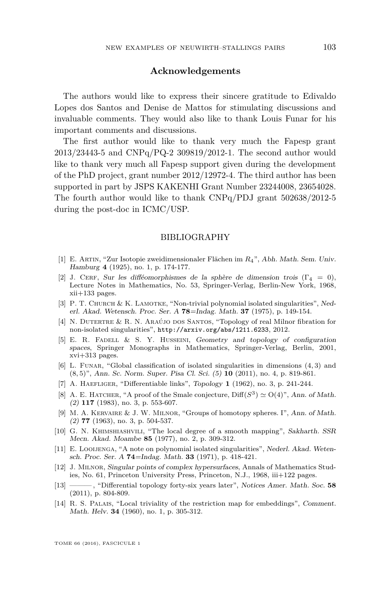#### **Acknowledgements**

The authors would like to express their sincere gratitude to Edivaldo Lopes dos Santos and Denise de Mattos for stimulating discussions and invaluable comments. They would also like to thank Louis Funar for his important comments and discussions.

The first author would like to thank very much the Fapesp grant 2013/23443-5 and CNPq/PQ-2 309819/2012-1. The second author would like to thank very much all Fapesp support given during the development of the PhD project, grant number 2012/12972-4. The third author has been supported in part by JSPS KAKENHI Grant Number 23244008, 23654028. The fourth author would like to thank CNPq/PDJ grant 502638/2012-5 during the post-doc in ICMC/USP.

#### BIBLIOGRAPHY

- <span id="page-21-11"></span>[1] E. Artin, "Zur Isotopie zweidimensionaler Flächen im *R*4", Abh. Math. Sem. Univ. Hamburg **4** (1925), no. 1, p. 174-177.
- <span id="page-21-6"></span>[2] J. CERF, Sur les difféomorphismes de la sphère de dimension trois (Γ<sub>4</sub> = 0), Lecture Notes in Mathematics, No. 53, Springer-Verlag, Berlin-New York, 1968, xii+133 pages.
- <span id="page-21-2"></span>[3] P. T. CHURCH  $&$  K. LAMOTKE, "Non-trivial polynomial isolated singularities", Nederl. Akad. Wetensch. Proc. Ser. A **78**=Indag. Math. **37** (1975), p. 149-154.
- <span id="page-21-12"></span>[4] N. Dutertre & R. N. Araújo dos Santos, "Topology of real Milnor fibration for non-isolated singularities", <http://arxiv.org/abs/1211.6233>, 2012.
- <span id="page-21-8"></span>[5] E. R. Fadell & S. Y. Husseini, Geometry and topology of configuration spaces, Springer Monographs in Mathematics, Springer-Verlag, Berlin, 2001, xvi+313 pages.
- <span id="page-21-3"></span>[6] L. Funar, "Global classification of isolated singularities in dimensions (4*,* 3) and (8*,* 5)", Ann. Sc. Norm. Super. Pisa Cl. Sci. (5) **10** (2011), no. 4, p. 819-861.
- <span id="page-21-9"></span>[7] A. HAEFLIGER, "Differentiable links", Topology **1** (1962), no. 3, p. 241-244.
- <span id="page-21-5"></span>[8] A. E. HATCHER, "A proof of the Smale conjecture,  $\text{Diff}(S^3) \simeq \text{O}(4)$ ", Ann. of Math. (2) **117** (1983), no. 3, p. 553-607.
- <span id="page-21-10"></span>[9] M. A. Kervaire & J. W. Milnor, "Groups of homotopy spheres. I", Ann. of Math. (2) **77** (1963), no. 3, p. 504-537.
- <span id="page-21-13"></span>[10] G. N. Khimshiashvili, "The local degree of a smooth mapping", Sakharth. SSR Mecn. Akad. Moambe **85** (1977), no. 2, p. 309-312.
- <span id="page-21-1"></span>[11] E. Looijenga, "A note on polynomial isolated singularities", Nederl. Akad. Wetensch. Proc. Ser. A **74**=Indag. Math. **33** (1971), p. 418-421.
- <span id="page-21-0"></span>[12] J. Milnor, Singular points of complex hypersurfaces, Annals of Mathematics Studies, No. 61, Princeton University Press, Princeton, N.J., 1968, iii+122 pages.
- <span id="page-21-4"></span>[13] ——— , "Differential topology forty-six years later", Notices Amer. Math. Soc. **58** (2011), p. 804-809.
- <span id="page-21-7"></span>[14] R. S. Palais, "Local triviality of the restriction map for embeddings", Comment. Math. Helv. **34** (1960), no. 1, p. 305-312.